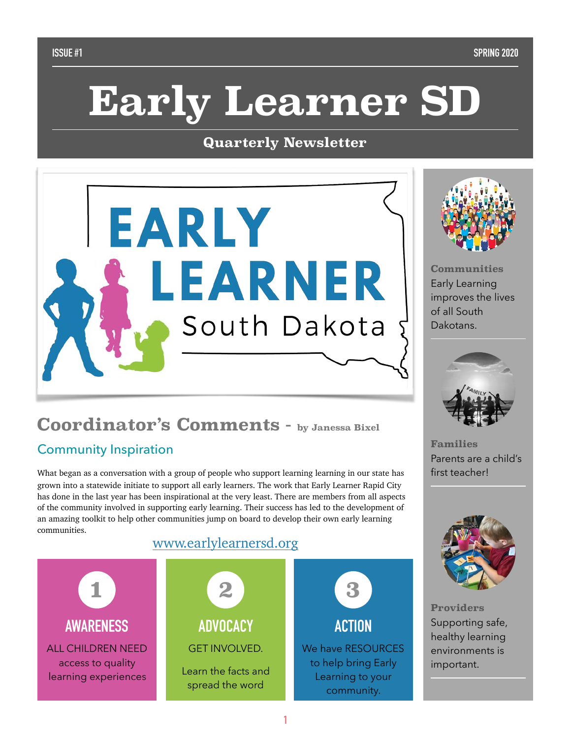# **Early Learner SD**

### **Quarterly Newsletter**





**Communities**  Early Learning improves the lives of all South Dakotans.



**Families**  Parents are a child's first teacher!



**Providers**  Supporting safe, healthy learning environments is important.

# **Coordinator's Comments - by Janessa Bixel**

# Community Inspiration

What began as a conversation with a group of people who support learning learning in our state has grown into a statewide initiate to support all early learners. The work that Early Learner Rapid City has done in the last year has been inspirational at the very least. There are members from all aspects of the community involved in supporting early learning. Their success has led to the development of an amazing toolkit to help other communities jump on board to develop their own early learning communities.

# [www.earlylearnersd.org](http://www.earlylearnersd.org)